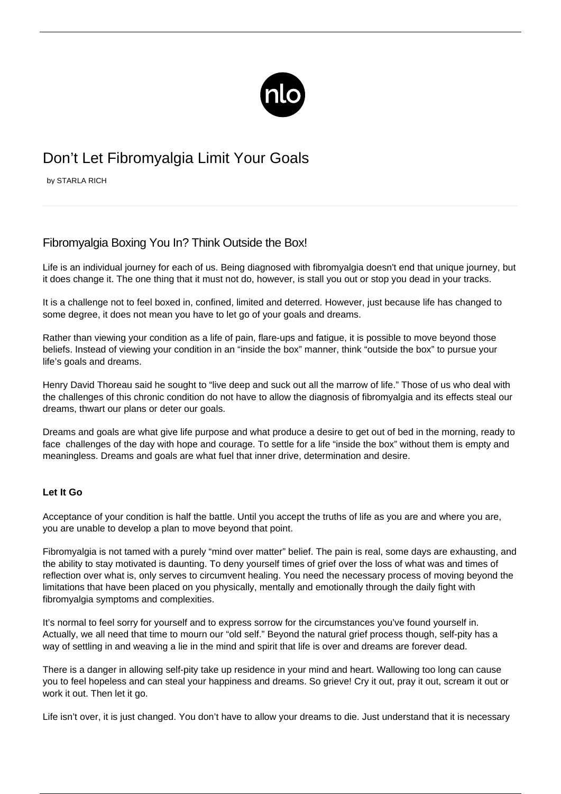

# Don't Let Fibromyalgia Limit Your Goals

by STARLA RICH

# Fibromyalgia Boxing You In? Think Outside the Box!

Life is an individual journey for each of us. Being diagnosed with fibromyalgia doesn't end that unique journey, but it does change it. The one thing that it must not do, however, is stall you out or stop you dead in your tracks.

It is a challenge not to feel boxed in, confined, limited and deterred. However, just because life has changed to some degree, it does not mean you have to let go of your goals and dreams.

Rather than viewing your condition as a life of pain, flare-ups and fatigue, it is possible to move beyond those beliefs. Instead of viewing your condition in an "inside the box" manner, think "outside the box" to pursue your life's goals and dreams.

Henry David Thoreau said he sought to "live deep and suck out all the marrow of life." Those of us who deal with the challenges of this chronic condition do not have to allow the diagnosis of fibromyalgia and its effects steal our dreams, thwart our plans or deter our goals.

Dreams and goals are what give life purpose and what produce a desire to get out of bed in the morning, ready to face challenges of the day with hope and courage. To settle for a life "inside the box" without them is empty and meaningless. Dreams and goals are what fuel that inner drive, determination and desire.

## **Let It Go**

Acceptance of your condition is half the battle. Until you accept the truths of life as you are and where you are, you are unable to develop a plan to move beyond that point.

Fibromyalgia is not tamed with a purely "mind over matter" belief. [The pain is real,](/fibro-sensitivity/) some days are exhausting, and the ability to stay motivated is daunting. To deny yourself times of grief over the loss of what was and times of reflection over what is, only serves to circumvent healing. You need the necessary process of moving beyond the limitations that have been placed on you physically, mentally and emotionally through the daily fight with fibromyalgia symptoms and complexities.

It's normal to feel sorry for yourself and to express sorrow for the circumstances you've found yourself in. Actually, we all need that time to mourn our "old self." Beyond the natural grief process though, self-pity has a way of settling in and weaving a lie in the mind and spirit that life is over and dreams are forever dead.

There is a danger in allowing self-pity take up residence in your mind and heart. Wallowing too long can cause you to feel hopeless and can steal your happiness and dreams. So grieve! Cry it out, pray it out, scream it out or work it out. Then let it go.

Life isn't over, it is just changed. You don't have to allow your dreams to die. Just understand that it is necessary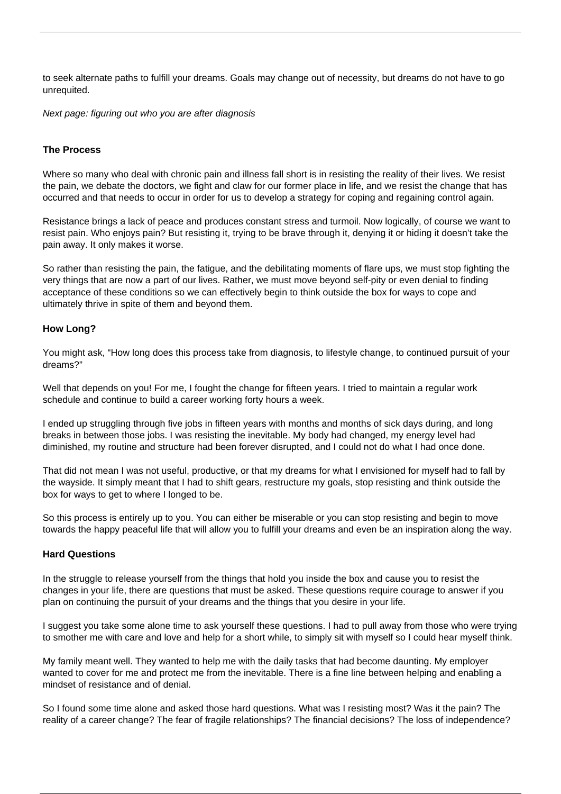to seek alternate paths to fulfill your dreams. Goals may change out of necessity, but dreams do not have to go unrequited.

Next page: figuring out who you are after diagnosis

## **The Process**

Where so many who deal with chronic pain and illness fall short is in resisting the reality of their lives. We resist the pain, we debate the doctors, we fight and claw for our former place in life, and we resist the change that has occurred and that needs to occur in order for us to develop a strategy for coping and regaining control again.

Resistance brings a lack of peace and produces constant stress and turmoil. Now logically, of course we want to resist pain. Who enjoys pain? But resisting it, trying to be brave through it, denying it or hiding it doesn't take the pain away. It only makes it worse.

So rather than resisting the pain, the fatigue, and the [debilitating moments of flare ups](/flare-up/), we must stop fighting the very things that are now a part of our lives. Rather, we must move beyond self-pity or even denial to finding acceptance of these conditions so we can effectively begin to think outside the box for ways to cope and ultimately thrive in spite of them and beyond them.

#### **How Long?**

You might ask, "How long does this process take from diagnosis, to lifestyle change, to continued pursuit of your dreams?"

Well that depends on you! For me, I fought the change for fifteen years. I tried to maintain a regular work schedule and continue to build a career working forty hours a week.

I ended up struggling through five jobs in fifteen years with months and months of sick days during, and long breaks in between those jobs. I was resisting the inevitable. My body had changed, my energy level had diminished, my routine and structure had been forever disrupted, and I could not do what I had once done.

That did not mean I was not useful, productive, or that my dreams for what I envisioned for myself had to fall by the wayside. It simply meant that I had to shift gears, restructure my goals, stop resisting and think outside the box for ways to get to where I longed to be.

So this process is entirely up to you. You can either be miserable or you can stop resisting and begin to move towards the happy peaceful life that will allow you to fulfill your dreams and even be an inspiration along the way.

#### **Hard Questions**

In the struggle to release yourself from the things that hold you inside the box and cause you to resist the changes in your life, there are questions that must be asked. These questions require courage to answer if you plan on continuing the pursuit of your dreams and the things that you desire in your life.

I suggest you take some alone time to ask yourself these questions. I had to pull away from those who were trying to smother me with care and love and help for a short while, to simply sit with myself so I could hear myself think.

My family meant well. They wanted to help me with the daily tasks that had become daunting. My employer wanted to cover for me and protect me from the inevitable. There is a fine line between helping and enabling a mindset of resistance and of denial.

So I found some time alone and asked those hard questions. What was I resisting most? Was it the pain? The reality of a career change? The fear of fragile relationships? The financial decisions? The loss of independence?